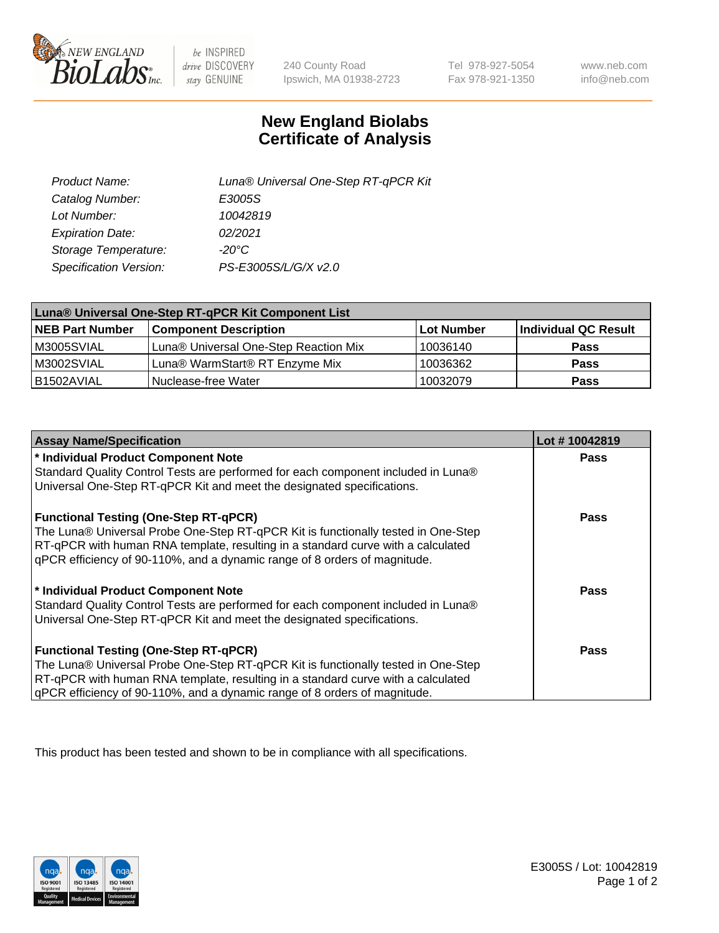

 $be$  INSPIRED drive DISCOVERY stay GENUINE

240 County Road Ipswich, MA 01938-2723

Tel 978-927-5054 Fax 978-921-1350

www.neb.com info@neb.com

## **New England Biolabs Certificate of Analysis**

| Product Name:           | Luna® Universal One-Step RT-qPCR Kit |
|-------------------------|--------------------------------------|
| Catalog Number:         | E3005S                               |
| Lot Number:             | 10042819                             |
| <b>Expiration Date:</b> | 02/2021                              |
| Storage Temperature:    | $-20^{\circ}$ C                      |
| Specification Version:  | PS-E3005S/L/G/X v2.0                 |

| Luna® Universal One-Step RT-qPCR Kit Component List |                                       |            |                      |  |
|-----------------------------------------------------|---------------------------------------|------------|----------------------|--|
| <b>NEB Part Number</b>                              | <b>Component Description</b>          | Lot Number | Individual QC Result |  |
| M3005SVIAL                                          | Luna® Universal One-Step Reaction Mix | 10036140   | <b>Pass</b>          |  |
| M3002SVIAL                                          | Luna® WarmStart® RT Enzyme Mix        | 10036362   | <b>Pass</b>          |  |
| B1502AVIAL                                          | Nuclease-free Water                   | 10032079   | <b>Pass</b>          |  |

| <b>Assay Name/Specification</b>                                                   | Lot #10042819 |
|-----------------------------------------------------------------------------------|---------------|
| * Individual Product Component Note                                               | <b>Pass</b>   |
| Standard Quality Control Tests are performed for each component included in Luna® |               |
| Universal One-Step RT-qPCR Kit and meet the designated specifications.            |               |
| <b>Functional Testing (One-Step RT-qPCR)</b>                                      | Pass          |
| The Luna® Universal Probe One-Step RT-qPCR Kit is functionally tested in One-Step |               |
| RT-qPCR with human RNA template, resulting in a standard curve with a calculated  |               |
| gPCR efficiency of 90-110%, and a dynamic range of 8 orders of magnitude.         |               |
| * Individual Product Component Note                                               | Pass          |
| Standard Quality Control Tests are performed for each component included in Luna® |               |
| Universal One-Step RT-qPCR Kit and meet the designated specifications.            |               |
| <b>Functional Testing (One-Step RT-qPCR)</b>                                      | <b>Pass</b>   |
| The Luna® Universal Probe One-Step RT-qPCR Kit is functionally tested in One-Step |               |
| RT-qPCR with human RNA template, resulting in a standard curve with a calculated  |               |
| gPCR efficiency of 90-110%, and a dynamic range of 8 orders of magnitude.         |               |

This product has been tested and shown to be in compliance with all specifications.